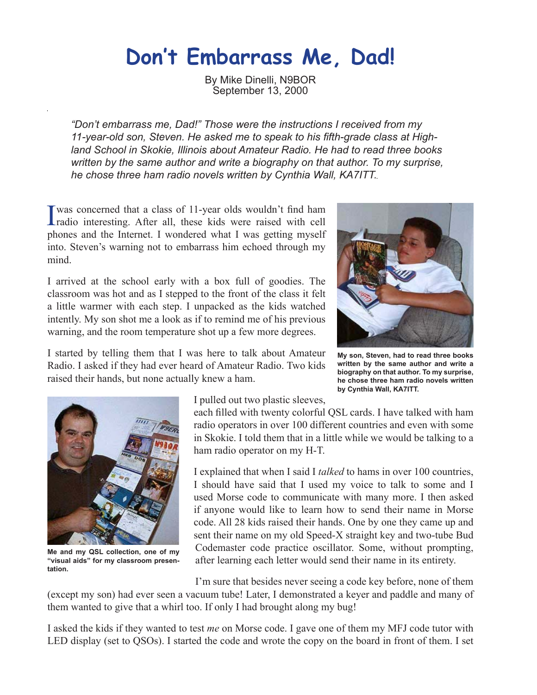## **Don't Embarrass Me, Dad!**

By Mike Dinelli, N9BOR September 13, 2000

*"Don't embarrass me, Dad!" Those were the instructions I received from my 11-year-old son, Steven. He asked me to speak to his fifth-grade class at Highland School in Skokie, Illinois about Amateur Radio. He had to read three books written by the same author and write a biography on that author. To my surprise, he chose three ham radio novels written by Cynthia Wall, KA7ITT.*

I was concerned that a class of 11-year olds wouldn't find ham<br>radio interesting. After all, these kids were raised with cell was concerned that a class of 11-year olds wouldn't find ham phones and the Internet. I wondered what I was getting myself into. Steven's warning not to embarrass him echoed through my mind.

I arrived at the school early with a box full of goodies. The classroom was hot and as I stepped to the front of the class it felt a little warmer with each step. I unpacked as the kids watched intently. My son shot me a look as if to remind me of his previous warning, and the room temperature shot up a few more degrees.



I started by telling them that I was here to talk about Amateur Radio. I asked if they had ever heard of Amateur Radio. Two kids raised their hands, but none actually knew a ham.

**My son, Steven, had to read three books written by the same author and write a biography on that author. To my surprise, he chose three ham radio novels written by Cynthia Wall, KA7ITT.**



**Me and my QSL collection, one of my "visual aids" for my classroom presentation.**

I pulled out two plastic sleeves,

each filled with twenty colorful QSL cards. I have talked with ham radio operators in over 100 different countries and even with some in Skokie. I told them that in a little while we would be talking to a ham radio operator on my H-T.

I explained that when I said I *talked* to hams in over 100 countries, I should have said that I used my voice to talk to some and I used Morse code to communicate with many more. I then asked if anyone would like to learn how to send their name in Morse code. All 28 kids raised their hands. One by one they came up and sent their name on my old Speed-X straight key and two-tube Bud Codemaster code practice oscillator. Some, without prompting, after learning each letter would send their name in its entirety.

I'm sure that besides never seeing a code key before, none of them

(except my son) had ever seen a vacuum tube! Later, I demonstrated a keyer and paddle and many of them wanted to give that a whirl too. If only I had brought along my bug!

I asked the kids if they wanted to test *me* on Morse code. I gave one of them my MFJ code tutor with LED display (set to QSOs). I started the code and wrote the copy on the board in front of them. I set